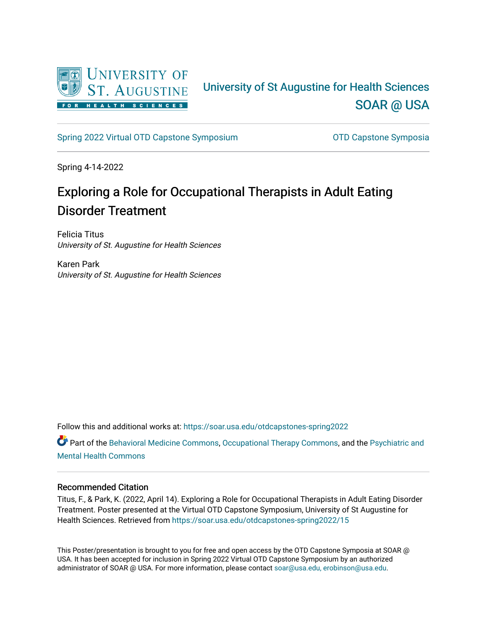

### University of St Augustine for Health Sciences [SOAR @ USA](https://soar.usa.edu/)

[Spring 2022 Virtual OTD Capstone Symposium](https://soar.usa.edu/otdcapstones-spring2022) **Capstone Symposia** OTD Capstone Symposia

Spring 4-14-2022

### Exploring a Role for Occupational Therapists in Adult Eating Disorder Treatment

Felicia Titus University of St. Augustine for Health Sciences

Karen Park University of St. Augustine for Health Sciences

Follow this and additional works at: [https://soar.usa.edu/otdcapstones-spring2022](https://soar.usa.edu/otdcapstones-spring2022?utm_source=soar.usa.edu%2Fotdcapstones-spring2022%2F15&utm_medium=PDF&utm_campaign=PDFCoverPages)

Part of the [Behavioral Medicine Commons](http://network.bepress.com/hgg/discipline/1405?utm_source=soar.usa.edu%2Fotdcapstones-spring2022%2F15&utm_medium=PDF&utm_campaign=PDFCoverPages), [Occupational Therapy Commons](http://network.bepress.com/hgg/discipline/752?utm_source=soar.usa.edu%2Fotdcapstones-spring2022%2F15&utm_medium=PDF&utm_campaign=PDFCoverPages), and the [Psychiatric and](http://network.bepress.com/hgg/discipline/711?utm_source=soar.usa.edu%2Fotdcapstones-spring2022%2F15&utm_medium=PDF&utm_campaign=PDFCoverPages) [Mental Health Commons](http://network.bepress.com/hgg/discipline/711?utm_source=soar.usa.edu%2Fotdcapstones-spring2022%2F15&utm_medium=PDF&utm_campaign=PDFCoverPages) 

### Recommended Citation

Titus, F., & Park, K. (2022, April 14). Exploring a Role for Occupational Therapists in Adult Eating Disorder Treatment. Poster presented at the Virtual OTD Capstone Symposium, University of St Augustine for Health Sciences. Retrieved from [https://soar.usa.edu/otdcapstones-spring2022/15](https://soar.usa.edu/otdcapstones-spring2022/15?utm_source=soar.usa.edu%2Fotdcapstones-spring2022%2F15&utm_medium=PDF&utm_campaign=PDFCoverPages) 

This Poster/presentation is brought to you for free and open access by the OTD Capstone Symposia at SOAR @ USA. It has been accepted for inclusion in Spring 2022 Virtual OTD Capstone Symposium by an authorized administrator of SOAR @ USA. For more information, please contact [soar@usa.edu, erobinson@usa.edu](mailto:soar@usa.edu,%20erobinson@usa.edu).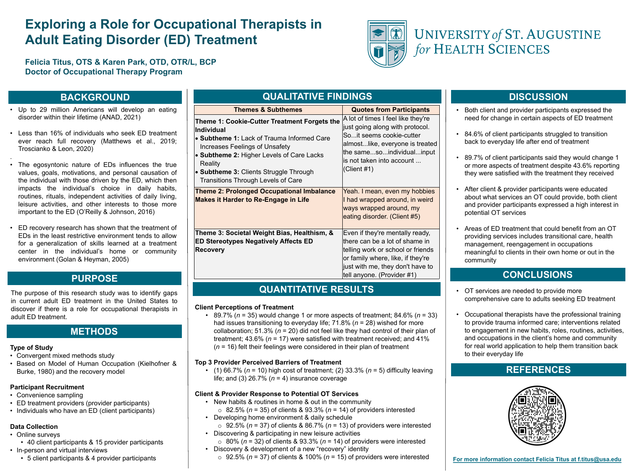# **Exploring a Role for Occupational Therapists in Adult Eating Disorder (ED) Treatment**

**Felicia Titus, OTS & Karen Park, OTD, OTR/L, BCP Doctor of Occupational Therapy Program**

### **Type of Study**

- Convergent mixed methods study
- Based on Model of Human Occupation (Kielhofne Burke, 1980) and the recovery model

- Online surveys
- 40 client participants & 15 provider participants • In-person and virtual interviews
	- 5 client participants & 4 provider participants

### **Participant Recruitment**

- Convenience sampling
- ED treatment providers (provider participants)
- Individuals who have an ED (client participants)

The purpose of this research study was to identify ga in current adult ED treatment in the United States discover if there is a role for occupational therapists adult ED treatment.

### **Data Collection**

## **BACKGROUND**

## **PURPOSE**

### **METHODS**

### **DISCUSSION**

- Up to 29 million Americans will develop an eat disorder within their lifetime (ANAD, 2021)
- Less than 16% of individuals who seek ED treatm ever reach full recovery (Matthews et al., 20 Troscianko & Leon, 2020)
- .
- The egosyntonic nature of EDs influences the values, goals, motivations, and personal causation the individual with those driven by the ED, which the impacts the individual's choice in daily habits routines, rituals, independent activities of daily living leisure activities, and other interests to those more important to the ED (O'Reilly & Johnson, 2016)
- ED recovery research has shown that the treatmen EDs in the least restrictive environment tends to all for a generalization of skills learned at a treatment center in the individual's home or community environment (Golan & Heyman, 2005)

## **REFERENCES**



## **CONCLUSIONS**

• Both client and provider participants expressed the need for change in certain aspects of ED treatment

• 84.6% of client participants struggled to transition back to everyday life after end of treatment

• 89.7% of client participants said they would change 1 or more aspects of treatment despite 43.6% reporting they were satisfied with the treatment they received

• After client & provider participants were educated about what services an OT could provide, both client and provider participants expressed a high interest in potential OT services

• Areas of ED treatment that could benefit from an OT providing services includes transitional care, health management, reengagement in occupations meaningful to clients in their own home or out in the

- 
- 
- 
- community
- 
- 

• OT services are needed to provide more comprehensive care to adults seeking ED treatment

• Occupational therapists have the professional training to provide trauma informed care; interventions related to engagement in new habits, roles, routines, activities, and occupations in the client's home and community for real world application to help them transition back to their everyday life

| QUALITATIVE FINDINGS                                                                                                                                                                                                                                                                                                                                                                                                                                                                                                                                                                                                                                                               |                                                                                                                                                                                                                    |
|------------------------------------------------------------------------------------------------------------------------------------------------------------------------------------------------------------------------------------------------------------------------------------------------------------------------------------------------------------------------------------------------------------------------------------------------------------------------------------------------------------------------------------------------------------------------------------------------------------------------------------------------------------------------------------|--------------------------------------------------------------------------------------------------------------------------------------------------------------------------------------------------------------------|
| <b>Themes &amp; Subthemes</b>                                                                                                                                                                                                                                                                                                                                                                                                                                                                                                                                                                                                                                                      | <b>Quotes from Participants</b>                                                                                                                                                                                    |
| Theme 1: Cookie-Cutter Treatment Forgets the<br><b>Individual</b><br><b>• Subtheme 1: Lack of Trauma Informed Care</b><br><b>Increases Feelings of Unsafety</b><br>• Subtheme 2: Higher Levels of Care Lacks<br><b>Reality</b><br>• Subtheme 3: Clients Struggle Through<br><b>Transitions Through Levels of Care</b>                                                                                                                                                                                                                                                                                                                                                              | A lot of times I feel like they're<br>just going along with protocol.<br>Soit seems cookie-cutter<br>almostlike, everyone is treated<br>the samesoindividualinput<br>lis not taken into account<br>$ $ (Client #1) |
| <b>Theme 2: Prolonged Occupational Imbalance</b><br><b>Makes it Harder to Re-Engage in Life</b>                                                                                                                                                                                                                                                                                                                                                                                                                                                                                                                                                                                    | Yeah. I mean, even my hobbies<br>I had wrapped around, in weird<br>ways wrapped around, my<br>eating disorder. (Client #5)                                                                                         |
| Theme 3: Societal Weight Bias, Healthism, &<br><b>ED Stereotypes Negatively Affects ED</b><br><b>Recovery</b>                                                                                                                                                                                                                                                                                                                                                                                                                                                                                                                                                                      | Even if they're mentally ready,<br>there can be a lot of shame in<br>telling work or school or friends<br>or family where, like, if they're<br>just with me, they don't have to<br> tell anyone. (Provider #1)     |
| QUANTITATIVE RESULTS                                                                                                                                                                                                                                                                                                                                                                                                                                                                                                                                                                                                                                                               |                                                                                                                                                                                                                    |
| <b>Client Perceptions of Treatment</b><br>• 89.7% ( $n = 35$ ) would change 1 or more aspects of treatment; 84.6% ( $n = 33$ )<br>had issues transitioning to everyday life; 71.8% ( $n = 28$ ) wished for more<br>collaboration; 51.3% ( $n = 20$ ) did not feel like they had control of their plan of<br>treatment; 43.6% ( $n = 17$ ) were satisfied with treatment received; and 41%<br>$(n = 16)$ felt their feelings were considered in their plan of treatment<br><b>Top 3 Provider Perceived Barriers of Treatment</b><br>• (1) 66.7% ( $n = 10$ ) high cost of treatment; (2) 33.3% ( $n = 5$ ) difficulty leaving<br>life; and (3) 26.7% ( $n = 4$ ) insurance coverage |                                                                                                                                                                                                                    |
| <b>Client &amp; Provider Response to Potential OT Services</b><br>• New habits & routines in home & out in the community<br>$\circ$ 82.5% (n = 35) of clients & 93.3% (n = 14) of providers interested<br>• Developing home environment & daily schedule<br>$\circ$ 92.5% (n = 37) of clients & 86.7% (n = 13) of providers were interested<br>• Discovering & participating in new leisure activities                                                                                                                                                                                                                                                                             | $\circ$ 80% (n = 32) of clients & 93.3% (n = 14) of providers were interested                                                                                                                                      |



# UNIVERSITY of ST. AUGUSTINE for HEALTH SCIENCES

- 
- 
- 
- 
- o 92.5% (*n* = 37) of clients & 100% (*n* = 15) of providers were interested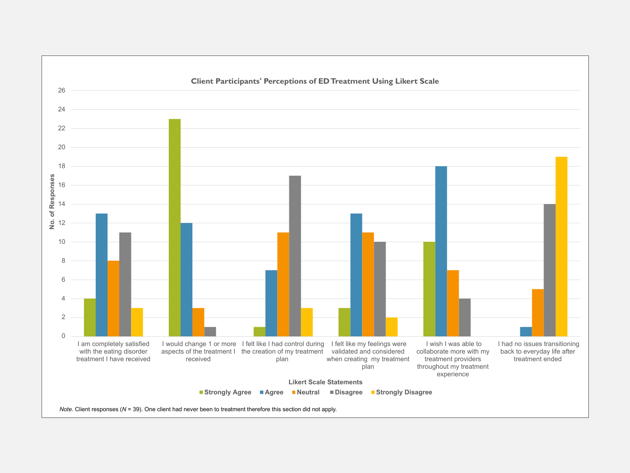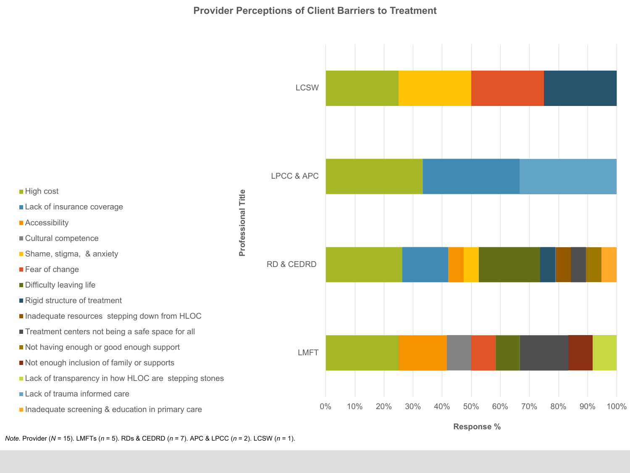- **High cost**
- 

**E** Accessibility

**Fear of change** 

■ Cultural competence

**Difficulty leaving life** 

**Lack of insurance coverage** 

**Shame, stigma, & anxiety** 

Rigid structure of treatment



LMFT

RD & CEDRD

Title **Professional Title Professional**  LPCC & APC

**LCSW** 

**Response %**

# **Provider Perceptions of Client Barriers to Treatment**

*Note.* Provider (*N* = 15). LMFTs (*n* = 5). RDs & CEDRD (*n* = 7). APC & LPCC (*n* = 2). LCSW (*n* = 1).

**Lack of trauma informed care** 

**Inadequate screening & education in primary care** 

**Lack of transparency in how HLOC are stepping stones** 

**Not enough inclusion of family or supports** 

**Not having enough or good enough support** 

**Treatment centers not being a safe space for all** 

**Inadequate resources stepping down from HLOC**